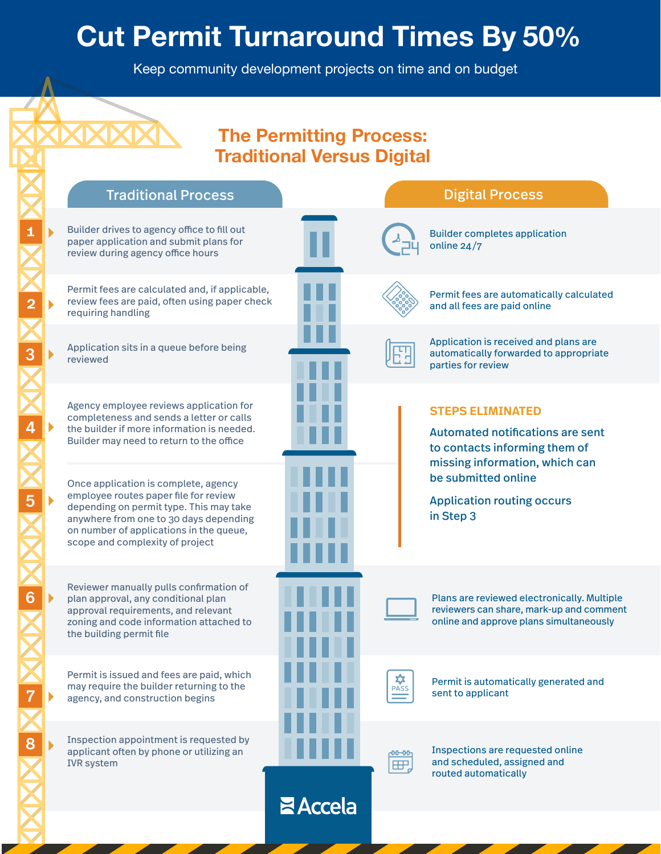## **Cut Permit Turnaround Times By 50 %**

Keep community development projects on time and on budget

## **The Permitting Process: Traditional Versus Digital**